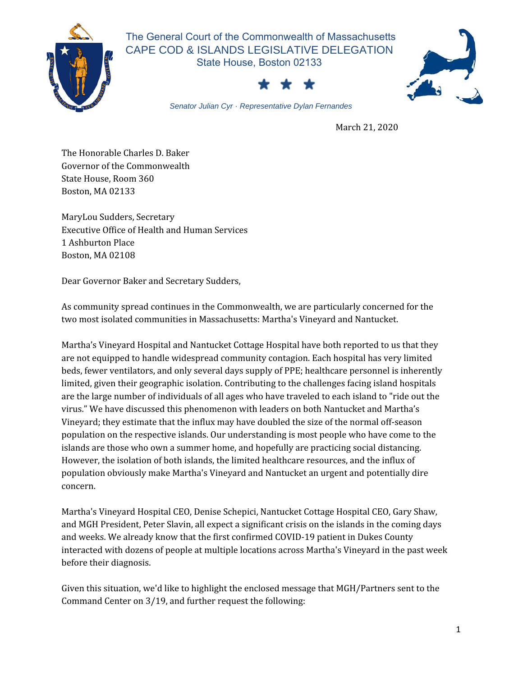

 The General Court of the Commonwealth of Massachusetts CAPE COD & ISLANDS LEGISLATIVE DELEGATION State House, Boston 02133





*Senator Julian Cyr · Representative Dylan Fernandes*

March 21, 2020

The Honorable Charles D. Baker Governor of the Commonwealth State House, Room 360 Boston, MA 02133

MaryLou Sudders, Secretary Executive Office of Health and Human Services 1 Ashburton Place Boston, MA 02108

Dear Governor Baker and Secretary Sudders,

As community spread continues in the Commonwealth, we are particularly concerned for the two most isolated communities in Massachusetts: Martha's Vineyard and Nantucket.

Martha's Vineyard Hospital and Nantucket Cottage Hospital have both reported to us that they are not equipped to handle widespread community contagion. Each hospital has very limited beds, fewer ventilators, and only several days supply of PPE; healthcare personnel is inherently limited, given their geographic isolation. Contributing to the challenges facing island hospitals are the large number of individuals of all ages who have traveled to each island to "ride out the virus." We have discussed this phenomenon with leaders on both Nantucket and Martha's Vineyard; they estimate that the influx may have doubled the size of the normal off-season population on the respective islands. Our understanding is most people who have come to the islands are those who own a summer home, and hopefully are practicing social distancing. However, the isolation of both islands, the limited healthcare resources, and the influx of population obviously make Martha's Vineyard and Nantucket an urgent and potentially dire concern.

Martha's Vineyard Hospital CEO, Denise Schepici, Nantucket Cottage Hospital CEO, Gary Shaw, and MGH President, Peter Slavin, all expect a significant crisis on the islands in the coming days and weeks. We already know that the first confirmed COVID-19 patient in Dukes County interacted with dozens of people at multiple locations across Martha's Vineyard in the past week before their diagnosis.

Given this situation, we'd like to highlight the enclosed message that MGH/Partners sent to the Command Center on 3/19, and further request the following: